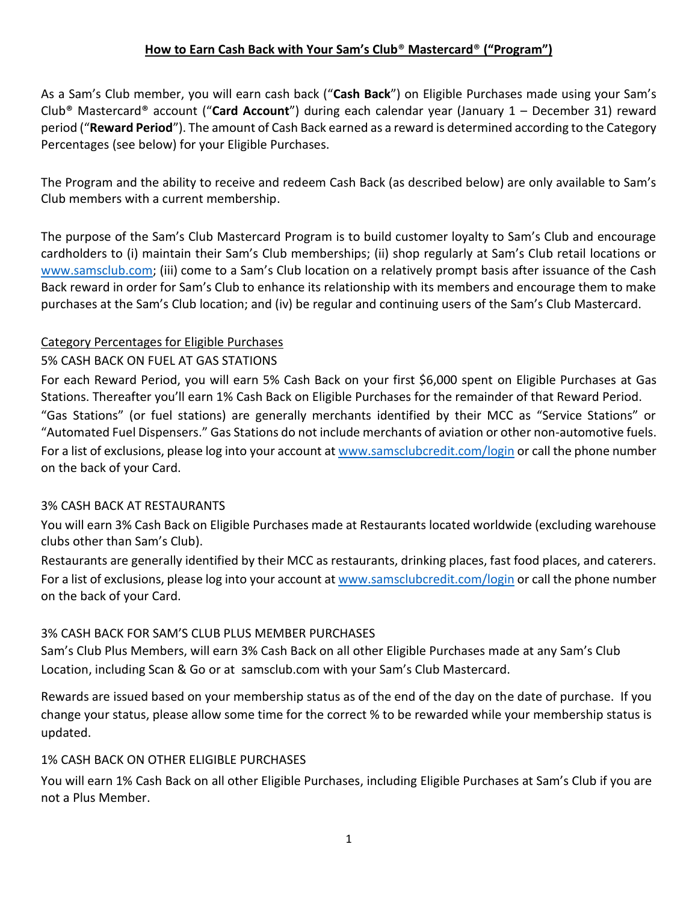# **How to Earn Cash Back with Your Sam's Club**® **Mastercard**® **("Program")**

As a Sam's Club member, you will earn cash back ("**Cash Back**") on Eligible Purchases made using your Sam's Club® Mastercard® account ("**Card Account**") during each calendar year (January 1 – December 31) reward period ("**Reward Period**"). The amount of Cash Back earned as a reward is determined according to the Category Percentages (see below) for your Eligible Purchases.

The Program and the ability to receive and redeem Cash Back (as described below) are only available to Sam's Club members with a current membership.

The purpose of the Sam's Club Mastercard Program is to build customer loyalty to Sam's Club and encourage cardholders to (i) maintain their Sam's Club memberships; (ii) shop regularly at Sam's Club retail locations or [www.samsclub.com](http://www.samsclub.com/); (iii) come to a Sam's Club location on a relatively prompt basis after issuance of the Cash Back reward in order for Sam's Club to enhance its relationship with its members and encourage them to make purchases at the Sam's Club location; and (iv) be regular and continuing users of the Sam's Club Mastercard.

### Category Percentages for Eligible Purchases

# 5% CASH BACK ON FUEL AT GAS STATIONS

For each Reward Period, you will earn 5% Cash Back on your first \$6,000 spent on Eligible Purchases at Gas Stations. Thereafter you'll earn 1% Cash Back on Eligible Purchases for the remainder of that Reward Period. "Gas Stations" (or fuel stations) are generally merchants identified by their MCC as "Service Stations" or "Automated Fuel Dispensers." Gas Stations do not include merchants of aviation or other non-automotive fuels. For a list of exclusions, please log into your account at [www.samsclubcredit.com/login](http://www.samsclubcredit.com/login) or call the phone number on the back of your Card.

### 3% CASH BACK AT RESTAURANTS

You will earn 3% Cash Back on Eligible Purchases made at Restaurants located worldwide (excluding warehouse clubs other than Sam's Club).

Restaurants are generally identified by their MCC as restaurants, drinking places, fast food places, and caterers. For a list of exclusions, please log into your account at [www.samsclubcredit.com/login](http://www.samsclubcredit.com/login) or call the phone number on the back of your Card.

### 3% CASH BACK FOR SAM'S CLUB PLUS MEMBER PURCHASES

Sam's Club Plus Members, will earn 3% Cash Back on all other Eligible Purchases made at any Sam's Club Location, including Scan & Go or at samsclub.com with your Sam's Club Mastercard.

Rewards are issued based on your membership status as of the end of the day on the date of purchase. If you change your status, please allow some time for the correct % to be rewarded while your membership status is updated.

### 1% CASH BACK ON OTHER ELIGIBLE PURCHASES

You will earn 1% Cash Back on all other Eligible Purchases, including Eligible Purchases at Sam's Club if you are not a Plus Member.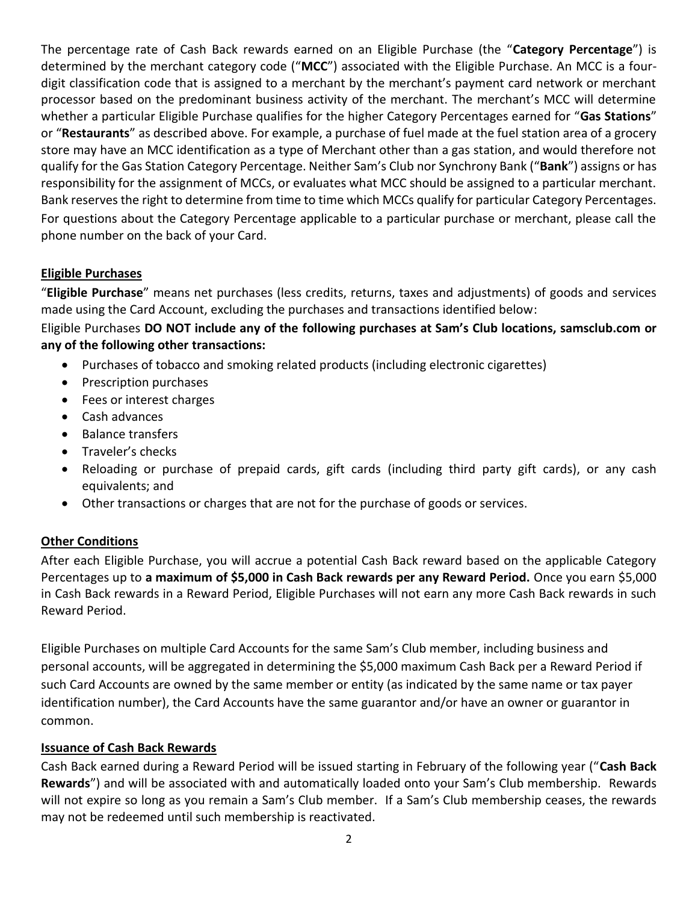The percentage rate of Cash Back rewards earned on an Eligible Purchase (the "**Category Percentage**") is determined by the merchant category code ("**MCC**") associated with the Eligible Purchase. An MCC is a fourdigit classification code that is assigned to a merchant by the merchant's payment card network or merchant processor based on the predominant business activity of the merchant. The merchant's MCC will determine whether a particular Eligible Purchase qualifies for the higher Category Percentages earned for "**Gas Stations**" or "**Restaurants**" as described above. For example, a purchase of fuel made at the fuel station area of a grocery store may have an MCC identification as a type of Merchant other than a gas station, and would therefore not qualify for the Gas Station Category Percentage. Neither Sam's Club nor Synchrony Bank ("**Bank**") assigns or has responsibility for the assignment of MCCs, or evaluates what MCC should be assigned to a particular merchant. Bank reserves the right to determine from time to time which MCCs qualify for particular Category Percentages. For questions about the Category Percentage applicable to a particular purchase or merchant, please call the phone number on the back of your Card.

# **Eligible Purchases**

"**Eligible Purchase**" means net purchases (less credits, returns, taxes and adjustments) of goods and services made using the Card Account, excluding the purchases and transactions identified below:

Eligible Purchases **DO NOT include any of the following purchases at Sam's Club locations, samsclub.com or any of the following other transactions:**

- Purchases of tobacco and smoking related products (including electronic cigarettes)
- Prescription purchases
- Fees or interest charges
- Cash advances
- Balance transfers
- Traveler's checks
- Reloading or purchase of prepaid cards, gift cards (including third party gift cards), or any cash equivalents; and
- Other transactions or charges that are not for the purchase of goods or services.

### **Other Conditions**

After each Eligible Purchase, you will accrue a potential Cash Back reward based on the applicable Category Percentages up to **a maximum of \$5,000 in Cash Back rewards per any Reward Period.** Once you earn \$5,000 in Cash Back rewards in a Reward Period, Eligible Purchases will not earn any more Cash Back rewards in such Reward Period.

Eligible Purchases on multiple Card Accounts for the same Sam's Club member, including business and personal accounts, will be aggregated in determining the \$5,000 maximum Cash Back per a Reward Period if such Card Accounts are owned by the same member or entity (as indicated by the same name or tax payer identification number), the Card Accounts have the same guarantor and/or have an owner or guarantor in common.

### **Issuance of Cash Back Rewards**

Cash Back earned during a Reward Period will be issued starting in February of the following year ("**Cash Back Rewards**") and will be associated with and automatically loaded onto your Sam's Club membership. Rewards will not expire so long as you remain a Sam's Club member. If a Sam's Club membership ceases, the rewards may not be redeemed until such membership is reactivated.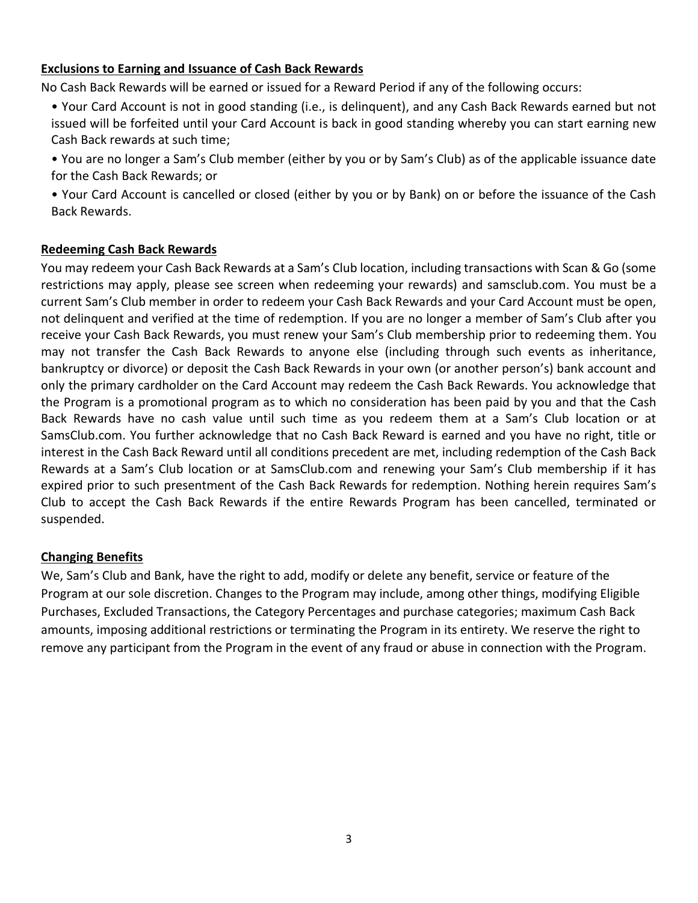### **Exclusions to Earning and Issuance of Cash Back Rewards**

No Cash Back Rewards will be earned or issued for a Reward Period if any of the following occurs:

- Your Card Account is not in good standing (i.e., is delinquent), and any Cash Back Rewards earned but not issued will be forfeited until your Card Account is back in good standing whereby you can start earning new Cash Back rewards at such time;
- You are no longer a Sam's Club member (either by you or by Sam's Club) as of the applicable issuance date for the Cash Back Rewards; or
- Your Card Account is cancelled or closed (either by you or by Bank) on or before the issuance of the Cash Back Rewards.

#### **Redeeming Cash Back Rewards**

You may redeem your Cash Back Rewards at a Sam's Club location, including transactions with Scan & Go (some restrictions may apply, please see screen when redeeming your rewards) and samsclub.com. You must be a current Sam's Club member in order to redeem your Cash Back Rewards and your Card Account must be open, not delinquent and verified at the time of redemption. If you are no longer a member of Sam's Club after you receive your Cash Back Rewards, you must renew your Sam's Club membership prior to redeeming them. You may not transfer the Cash Back Rewards to anyone else (including through such events as inheritance, bankruptcy or divorce) or deposit the Cash Back Rewards in your own (or another person's) bank account and only the primary cardholder on the Card Account may redeem the Cash Back Rewards. You acknowledge that the Program is a promotional program as to which no consideration has been paid by you and that the Cash Back Rewards have no cash value until such time as you redeem them at a Sam's Club location or at SamsClub.com. You further acknowledge that no Cash Back Reward is earned and you have no right, title or interest in the Cash Back Reward until all conditions precedent are met, including redemption of the Cash Back Rewards at a Sam's Club location or at SamsClub.com and renewing your Sam's Club membership if it has expired prior to such presentment of the Cash Back Rewards for redemption. Nothing herein requires Sam's Club to accept the Cash Back Rewards if the entire Rewards Program has been cancelled, terminated or suspended.

#### **Changing Benefits**

We, Sam's Club and Bank, have the right to add, modify or delete any benefit, service or feature of the Program at our sole discretion. Changes to the Program may include, among other things, modifying Eligible Purchases, Excluded Transactions, the Category Percentages and purchase categories; maximum Cash Back amounts, imposing additional restrictions or terminating the Program in its entirety. We reserve the right to remove any participant from the Program in the event of any fraud or abuse in connection with the Program.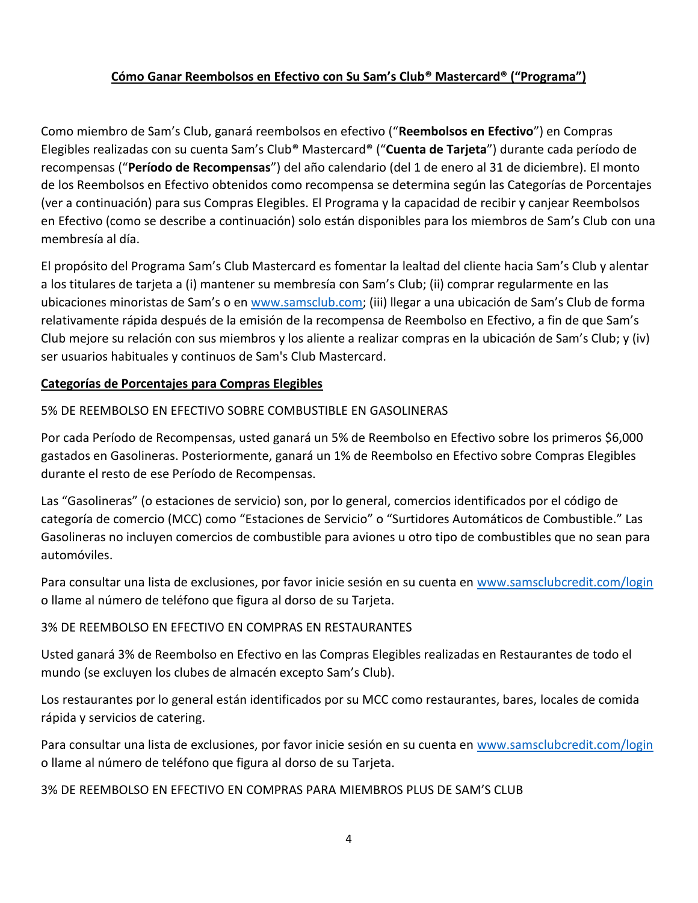### **Cómo Ganar Reembolsos en Efectivo con Su Sam's Club® Mastercard® ("Programa")**

Como miembro de Sam's Club, ganará reembolsos en efectivo ("**Reembolsos en Efectivo**") en Compras Elegibles realizadas con su cuenta Sam's Club® Mastercard® ("**Cuenta de Tarjeta**") durante cada período de recompensas ("**Período de Recompensas**") del año calendario (del 1 de enero al 31 de diciembre). El monto de los Reembolsos en Efectivo obtenidos como recompensa se determina según las Categorías de Porcentajes (ver a continuación) para sus Compras Elegibles. El Programa y la capacidad de recibir y canjear Reembolsos en Efectivo (como se describe a continuación) solo están disponibles para los miembros de Sam's Club con una membresía al día.

El propósito del Programa Sam's Club Mastercard es fomentar la lealtad del cliente hacia Sam's Club y alentar a los titulares de tarjeta a (i) mantener su membresía con Sam's Club; (ii) comprar regularmente en las ubicaciones minoristas de Sam's o en [www.samsclub.com;](http://www.samsclub.com/) (iii) llegar a una ubicación de Sam's Club de forma relativamente rápida después de la emisión de la recompensa de Reembolso en Efectivo, a fin de que Sam's Club mejore su relación con sus miembros y los aliente a realizar compras en la ubicación de Sam's Club; y (iv) ser usuarios habituales y continuos de Sam's Club Mastercard.

#### **Categorías de Porcentajes para Compras Elegibles**

### 5% DE REEMBOLSO EN EFECTIVO SOBRE COMBUSTIBLE EN GASOLINERAS

Por cada Período de Recompensas, usted ganará un 5% de Reembolso en Efectivo sobre los primeros \$6,000 gastados en Gasolineras. Posteriormente, ganará un 1% de Reembolso en Efectivo sobre Compras Elegibles durante el resto de ese Período de Recompensas.

Las "Gasolineras" (o estaciones de servicio) son, por lo general, comercios identificados por el código de categoría de comercio (MCC) como "Estaciones de Servicio" o "Surtidores Automáticos de Combustible." Las Gasolineras no incluyen comercios de combustible para aviones u otro tipo de combustibles que no sean para automóviles.

Para consultar una lista de exclusiones, por favor inicie sesión en su cuenta en [www.samsclubcredit.com/login](http://www.samsclubcredit.com/login) o llame al número de teléfono que figura al dorso de su Tarjeta.

#### 3% DE REEMBOLSO EN EFECTIVO EN COMPRAS EN RESTAURANTES

Usted ganará 3% de Reembolso en Efectivo en las Compras Elegibles realizadas en Restaurantes de todo el mundo (se excluyen los clubes de almacén excepto Sam's Club).

Los restaurantes por lo general están identificados por su MCC como restaurantes, bares, locales de comida rápida y servicios de catering.

Para consultar una lista de exclusiones, por favor inicie sesión en su cuenta en [www.samsclubcredit.com/login](http://www.samsclubcredit.com/login) o llame al número de teléfono que figura al dorso de su Tarjeta.

#### 3% DE REEMBOLSO EN EFECTIVO EN COMPRAS PARA MIEMBROS PLUS DE SAM'S CLUB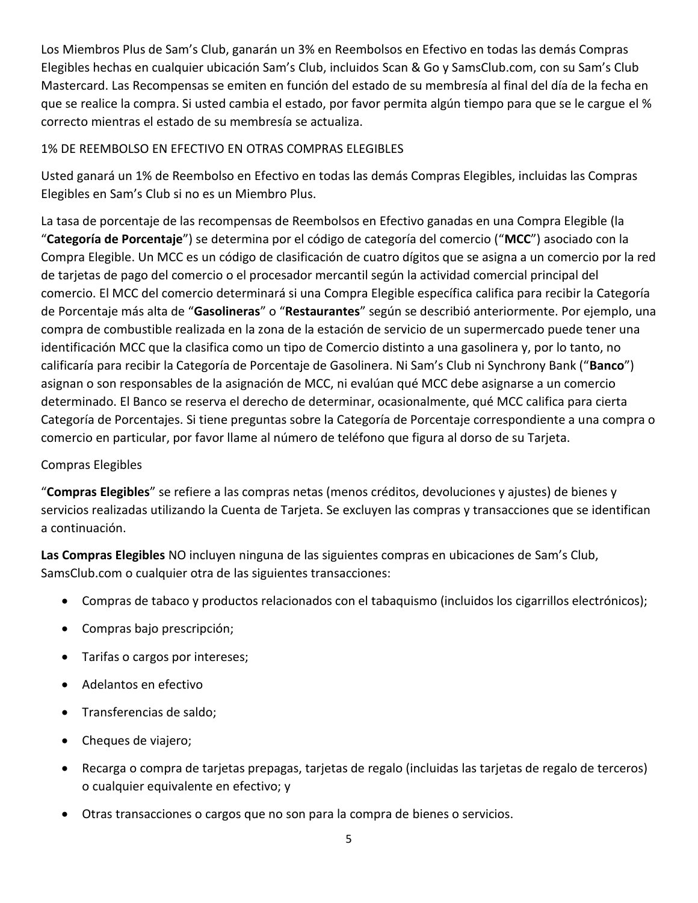Los Miembros Plus de Sam's Club, ganarán un 3% en Reembolsos en Efectivo en todas las demás Compras Elegibles hechas en cualquier ubicación Sam's Club, incluidos Scan & Go y SamsClub.com, con su Sam's Club Mastercard. Las Recompensas se emiten en función del estado de su membresía al final del día de la fecha en que se realice la compra. Si usted cambia el estado, por favor permita algún tiempo para que se le cargue el % correcto mientras el estado de su membresía se actualiza.

## 1% DE REEMBOLSO EN EFECTIVO EN OTRAS COMPRAS ELEGIBLES

Usted ganará un 1% de Reembolso en Efectivo en todas las demás Compras Elegibles, incluidas las Compras Elegibles en Sam's Club si no es un Miembro Plus.

La tasa de porcentaje de las recompensas de Reembolsos en Efectivo ganadas en una Compra Elegible (la "**Categoría de Porcentaje**") se determina por el código de categoría del comercio ("**MCC**") asociado con la Compra Elegible. Un MCC es un código de clasificación de cuatro dígitos que se asigna a un comercio por la red de tarjetas de pago del comercio o el procesador mercantil según la actividad comercial principal del comercio. El MCC del comercio determinará si una Compra Elegible específica califica para recibir la Categoría de Porcentaje más alta de "**Gasolineras**" o "**Restaurantes**" según se describió anteriormente. Por ejemplo, una compra de combustible realizada en la zona de la estación de servicio de un supermercado puede tener una identificación MCC que la clasifica como un tipo de Comercio distinto a una gasolinera y, por lo tanto, no calificaría para recibir la Categoría de Porcentaje de Gasolinera. Ni Sam's Club ni Synchrony Bank ("**Banco**") asignan o son responsables de la asignación de MCC, ni evalúan qué MCC debe asignarse a un comercio determinado. El Banco se reserva el derecho de determinar, ocasionalmente, qué MCC califica para cierta Categoría de Porcentajes. Si tiene preguntas sobre la Categoría de Porcentaje correspondiente a una compra o comercio en particular, por favor llame al número de teléfono que figura al dorso de su Tarjeta.

### Compras Elegibles

"**Compras Elegibles**" se refiere a las compras netas (menos créditos, devoluciones y ajustes) de bienes y servicios realizadas utilizando la Cuenta de Tarjeta. Se excluyen las compras y transacciones que se identifican a continuación.

**Las Compras Elegibles** NO incluyen ninguna de las siguientes compras en ubicaciones de Sam's Club, SamsClub.com o cualquier otra de las siguientes transacciones:

- Compras de tabaco y productos relacionados con el tabaquismo (incluidos los cigarrillos electrónicos);
- Compras bajo prescripción;
- Tarifas o cargos por intereses;
- Adelantos en efectivo
- Transferencias de saldo;
- Cheques de viajero;
- Recarga o compra de tarjetas prepagas, tarjetas de regalo (incluidas las tarjetas de regalo de terceros) o cualquier equivalente en efectivo; y
- Otras transacciones o cargos que no son para la compra de bienes o servicios.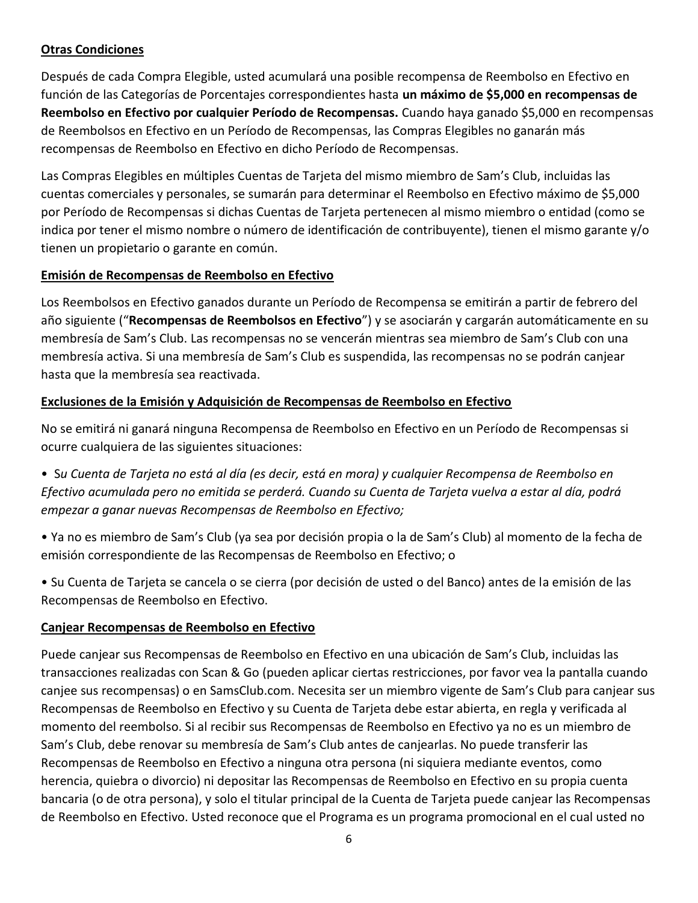## **Otras Condiciones**

Después de cada Compra Elegible, usted acumulará una posible recompensa de Reembolso en Efectivo en función de las Categorías de Porcentajes correspondientes hasta **un máximo de \$5,000 en recompensas de Reembolso en Efectivo por cualquier Período de Recompensas.** Cuando haya ganado \$5,000 en recompensas de Reembolsos en Efectivo en un Período de Recompensas, las Compras Elegibles no ganarán más recompensas de Reembolso en Efectivo en dicho Período de Recompensas.

Las Compras Elegibles en múltiples Cuentas de Tarjeta del mismo miembro de Sam's Club, incluidas las cuentas comerciales y personales, se sumarán para determinar el Reembolso en Efectivo máximo de \$5,000 por Período de Recompensas si dichas Cuentas de Tarjeta pertenecen al mismo miembro o entidad (como se indica por tener el mismo nombre o número de identificación de contribuyente), tienen el mismo garante y/o tienen un propietario o garante en común.

### **Emisión de Recompensas de Reembolso en Efectivo**

Los Reembolsos en Efectivo ganados durante un Período de Recompensa se emitirán a partir de febrero del año siguiente ("**Recompensas de Reembolsos en Efectivo**") y se asociarán y cargarán automáticamente en su membresía de Sam's Club. Las recompensas no se vencerán mientras sea miembro de Sam's Club con una membresía activa. Si una membresía de Sam's Club es suspendida, las recompensas no se podrán canjear hasta que la membresía sea reactivada.

### **Exclusiones de la Emisión y Adquisición de Recompensas de Reembolso en Efectivo**

No se emitirá ni ganará ninguna Recompensa de Reembolso en Efectivo en un Período de Recompensas si ocurre cualquiera de las siguientes situaciones:

- S*u Cuenta de Tarjeta no está al día (es decir, está en mora) y cualquier Recompensa de Reembolso en Efectivo acumulada pero no emitida se perderá. Cuando su Cuenta de Tarjeta vuelva a estar al día, podrá empezar a ganar nuevas Recompensas de Reembolso en Efectivo;*
- Ya no es miembro de Sam's Club (ya sea por decisión propia o la de Sam's Club) al momento de la fecha de emisión correspondiente de las Recompensas de Reembolso en Efectivo; o
- Su Cuenta de Tarjeta se cancela o se cierra (por decisión de usted o del Banco) antes de la emisión de las Recompensas de Reembolso en Efectivo.

### **Canjear Recompensas de Reembolso en Efectivo**

Puede canjear sus Recompensas de Reembolso en Efectivo en una ubicación de Sam's Club, incluidas las transacciones realizadas con Scan & Go (pueden aplicar ciertas restricciones, por favor vea la pantalla cuando canjee sus recompensas) o en SamsClub.com. Necesita ser un miembro vigente de Sam's Club para canjear sus Recompensas de Reembolso en Efectivo y su Cuenta de Tarjeta debe estar abierta, en regla y verificada al momento del reembolso. Si al recibir sus Recompensas de Reembolso en Efectivo ya no es un miembro de Sam's Club, debe renovar su membresía de Sam's Club antes de canjearlas. No puede transferir las Recompensas de Reembolso en Efectivo a ninguna otra persona (ni siquiera mediante eventos, como herencia, quiebra o divorcio) ni depositar las Recompensas de Reembolso en Efectivo en su propia cuenta bancaria (o de otra persona), y solo el titular principal de la Cuenta de Tarjeta puede canjear las Recompensas de Reembolso en Efectivo. Usted reconoce que el Programa es un programa promocional en el cual usted no